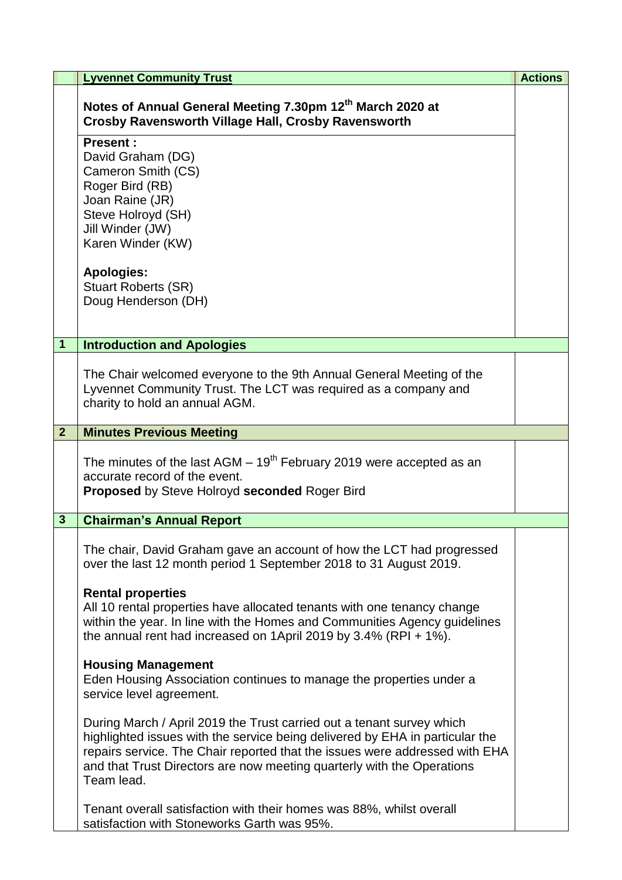|                | <b>Lyvennet Community Trust</b>                                                                                                                                                                                                                                                                                              | <b>Actions</b> |
|----------------|------------------------------------------------------------------------------------------------------------------------------------------------------------------------------------------------------------------------------------------------------------------------------------------------------------------------------|----------------|
|                | Notes of Annual General Meeting 7.30pm 12 <sup>th</sup> March 2020 at<br>Crosby Ravensworth Village Hall, Crosby Ravensworth                                                                                                                                                                                                 |                |
|                | <b>Present:</b><br>David Graham (DG)<br>Cameron Smith (CS)<br>Roger Bird (RB)<br>Joan Raine (JR)<br>Steve Holroyd (SH)<br>Jill Winder (JW)<br>Karen Winder (KW)<br><b>Apologies:</b><br><b>Stuart Roberts (SR)</b><br>Doug Henderson (DH)                                                                                    |                |
|                |                                                                                                                                                                                                                                                                                                                              |                |
| $\mathbf{1}$   | <b>Introduction and Apologies</b>                                                                                                                                                                                                                                                                                            |                |
|                | The Chair welcomed everyone to the 9th Annual General Meeting of the<br>Lyvennet Community Trust. The LCT was required as a company and<br>charity to hold an annual AGM.                                                                                                                                                    |                |
| $\overline{2}$ | <b>Minutes Previous Meeting</b>                                                                                                                                                                                                                                                                                              |                |
|                | The minutes of the last AGM $-19th$ February 2019 were accepted as an<br>accurate record of the event.<br><b>Proposed by Steve Holroyd seconded Roger Bird</b>                                                                                                                                                               |                |
| 3              | <b>Chairman's Annual Report</b>                                                                                                                                                                                                                                                                                              |                |
|                | The chair, David Graham gave an account of how the LCT had progressed<br>over the last 12 month period 1 September 2018 to 31 August 2019.<br><b>Rental properties</b>                                                                                                                                                       |                |
|                | All 10 rental properties have allocated tenants with one tenancy change<br>within the year. In line with the Homes and Communities Agency guidelines<br>the annual rent had increased on 1April 2019 by 3.4% (RPI + 1%).                                                                                                     |                |
|                | <b>Housing Management</b><br>Eden Housing Association continues to manage the properties under a<br>service level agreement.                                                                                                                                                                                                 |                |
|                | During March / April 2019 the Trust carried out a tenant survey which<br>highlighted issues with the service being delivered by EHA in particular the<br>repairs service. The Chair reported that the issues were addressed with EHA<br>and that Trust Directors are now meeting quarterly with the Operations<br>Team lead. |                |
|                | Tenant overall satisfaction with their homes was 88%, whilst overall<br>satisfaction with Stoneworks Garth was 95%.                                                                                                                                                                                                          |                |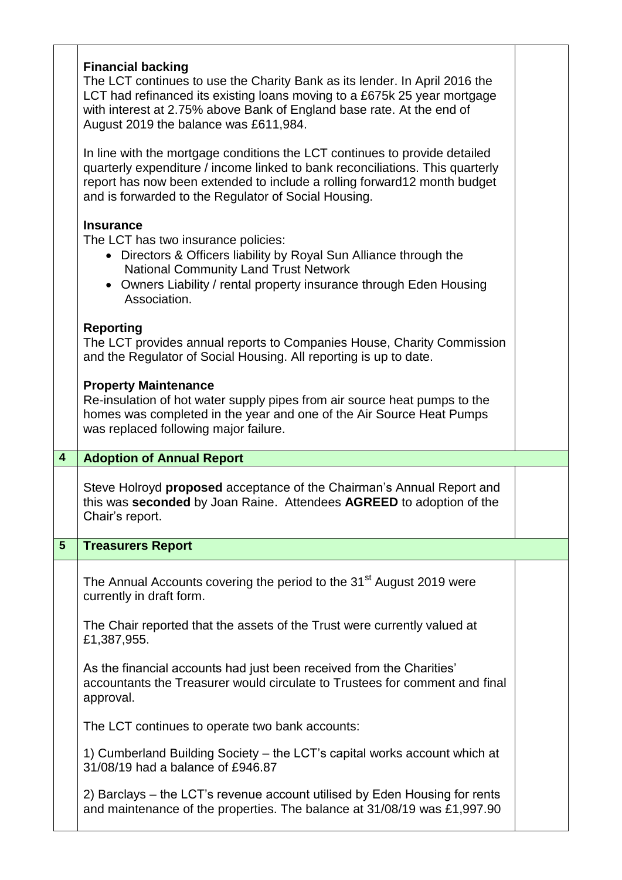|                | <b>Financial backing</b><br>The LCT continues to use the Charity Bank as its lender. In April 2016 the<br>LCT had refinanced its existing loans moving to a £675k 25 year mortgage<br>with interest at 2.75% above Bank of England base rate. At the end of<br>August 2019 the balance was £611,984. |  |
|----------------|------------------------------------------------------------------------------------------------------------------------------------------------------------------------------------------------------------------------------------------------------------------------------------------------------|--|
|                | In line with the mortgage conditions the LCT continues to provide detailed<br>quarterly expenditure / income linked to bank reconciliations. This quarterly<br>report has now been extended to include a rolling forward12 month budget<br>and is forwarded to the Regulator of Social Housing.      |  |
|                | <b>Insurance</b><br>The LCT has two insurance policies:<br>• Directors & Officers liability by Royal Sun Alliance through the<br><b>National Community Land Trust Network</b><br>• Owners Liability / rental property insurance through Eden Housing<br>Association.                                 |  |
|                | <b>Reporting</b><br>The LCT provides annual reports to Companies House, Charity Commission<br>and the Regulator of Social Housing. All reporting is up to date.                                                                                                                                      |  |
|                | <b>Property Maintenance</b><br>Re-insulation of hot water supply pipes from air source heat pumps to the<br>homes was completed in the year and one of the Air Source Heat Pumps<br>was replaced following major failure.                                                                            |  |
| $\overline{4}$ | <b>Adoption of Annual Report</b>                                                                                                                                                                                                                                                                     |  |
|                |                                                                                                                                                                                                                                                                                                      |  |
|                | Steve Holroyd proposed acceptance of the Chairman's Annual Report and<br>this was seconded by Joan Raine. Attendees AGREED to adoption of the<br>Chair's report.                                                                                                                                     |  |
| $5\phantom{1}$ | <b>Treasurers Report</b>                                                                                                                                                                                                                                                                             |  |
|                | The Annual Accounts covering the period to the 31 <sup>st</sup> August 2019 were<br>currently in draft form.                                                                                                                                                                                         |  |
|                | The Chair reported that the assets of the Trust were currently valued at<br>£1,387,955.                                                                                                                                                                                                              |  |
|                | As the financial accounts had just been received from the Charities'<br>accountants the Treasurer would circulate to Trustees for comment and final<br>approval.                                                                                                                                     |  |
|                | The LCT continues to operate two bank accounts:                                                                                                                                                                                                                                                      |  |
|                | 1) Cumberland Building Society – the LCT's capital works account which at<br>31/08/19 had a balance of £946.87                                                                                                                                                                                       |  |
|                |                                                                                                                                                                                                                                                                                                      |  |
|                |                                                                                                                                                                                                                                                                                                      |  |
|                |                                                                                                                                                                                                                                                                                                      |  |
|                |                                                                                                                                                                                                                                                                                                      |  |
|                |                                                                                                                                                                                                                                                                                                      |  |
|                |                                                                                                                                                                                                                                                                                                      |  |
|                |                                                                                                                                                                                                                                                                                                      |  |
|                |                                                                                                                                                                                                                                                                                                      |  |
|                | 2) Barclays – the LCT's revenue account utilised by Eden Housing for rents                                                                                                                                                                                                                           |  |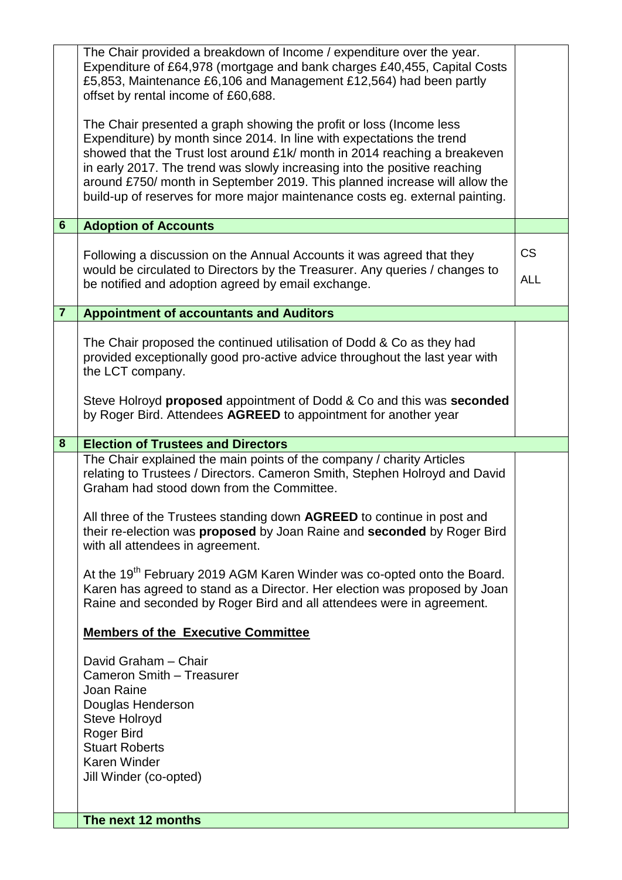|                | The Chair provided a breakdown of Income / expenditure over the year.<br>Expenditure of £64,978 (mortgage and bank charges £40,455, Capital Costs<br>£5,853, Maintenance £6,106 and Management £12,564) had been partly<br>offset by rental income of £60,688.                                                                                                                                                                                                       |                         |
|----------------|----------------------------------------------------------------------------------------------------------------------------------------------------------------------------------------------------------------------------------------------------------------------------------------------------------------------------------------------------------------------------------------------------------------------------------------------------------------------|-------------------------|
|                | The Chair presented a graph showing the profit or loss (Income less<br>Expenditure) by month since 2014. In line with expectations the trend<br>showed that the Trust lost around £1k/ month in 2014 reaching a breakeven<br>in early 2017. The trend was slowly increasing into the positive reaching<br>around £750/ month in September 2019. This planned increase will allow the<br>build-up of reserves for more major maintenance costs eg. external painting. |                         |
| $6\phantom{1}$ | <b>Adoption of Accounts</b>                                                                                                                                                                                                                                                                                                                                                                                                                                          |                         |
|                | Following a discussion on the Annual Accounts it was agreed that they<br>would be circulated to Directors by the Treasurer. Any queries / changes to<br>be notified and adoption agreed by email exchange.                                                                                                                                                                                                                                                           | <b>CS</b><br><b>ALL</b> |
| $\overline{7}$ | <b>Appointment of accountants and Auditors</b>                                                                                                                                                                                                                                                                                                                                                                                                                       |                         |
|                | The Chair proposed the continued utilisation of Dodd & Co as they had<br>provided exceptionally good pro-active advice throughout the last year with<br>the LCT company.                                                                                                                                                                                                                                                                                             |                         |
|                | Steve Holroyd proposed appointment of Dodd & Co and this was seconded<br>by Roger Bird. Attendees AGREED to appointment for another year                                                                                                                                                                                                                                                                                                                             |                         |
| 8              | <b>Election of Trustees and Directors</b>                                                                                                                                                                                                                                                                                                                                                                                                                            |                         |
|                | The Chair explained the main points of the company / charity Articles<br>relating to Trustees / Directors. Cameron Smith, Stephen Holroyd and David<br>Graham had stood down from the Committee.                                                                                                                                                                                                                                                                     |                         |
|                | All three of the Trustees standing down AGREED to continue in post and<br>their re-election was <b>proposed</b> by Joan Raine and <b>seconded</b> by Roger Bird<br>with all attendees in agreement.                                                                                                                                                                                                                                                                  |                         |
|                | At the 19 <sup>th</sup> February 2019 AGM Karen Winder was co-opted onto the Board.<br>Karen has agreed to stand as a Director. Her election was proposed by Joan<br>Raine and seconded by Roger Bird and all attendees were in agreement.                                                                                                                                                                                                                           |                         |
|                | <b>Members of the Executive Committee</b>                                                                                                                                                                                                                                                                                                                                                                                                                            |                         |
|                | David Graham - Chair<br>Cameron Smith - Treasurer<br>Joan Raine<br>Douglas Henderson<br>Steve Holroyd<br>Roger Bird<br><b>Stuart Roberts</b><br><b>Karen Winder</b><br>Jill Winder (co-opted)                                                                                                                                                                                                                                                                        |                         |
|                | The next 12 months                                                                                                                                                                                                                                                                                                                                                                                                                                                   |                         |